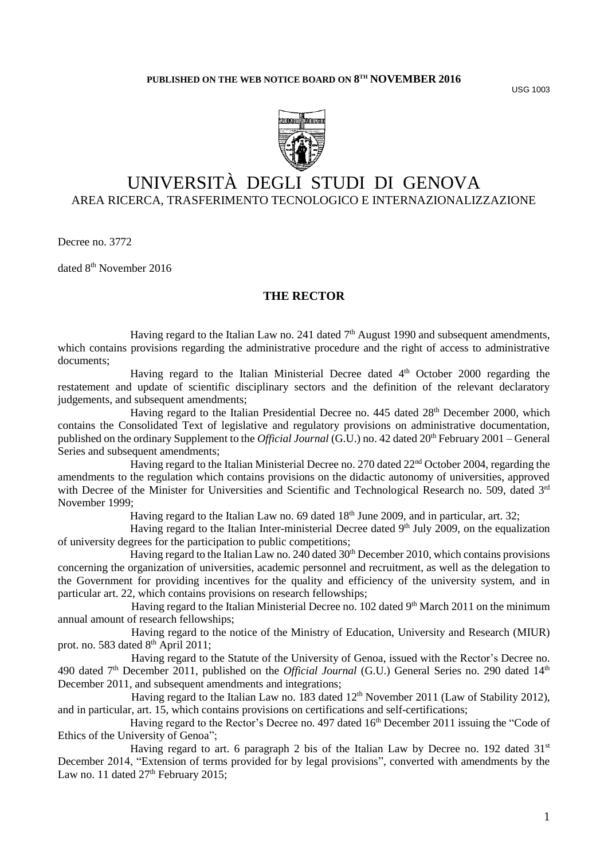USG 1003



# UNIVERSITÀ DEGLI STUDI DI GENOVA AREA RICERCA, TRASFERIMENTO TECNOLOGICO E INTERNAZIONALIZZAZIONE

Decree no. 3772

dated 8<sup>th</sup> November 2016

## **THE RECTOR**

Having regard to the Italian Law no. 241 dated  $7<sup>th</sup>$  August 1990 and subsequent amendments, which contains provisions regarding the administrative procedure and the right of access to administrative documents;

Having regard to the Italian Ministerial Decree dated 4<sup>th</sup> October 2000 regarding the restatement and update of scientific disciplinary sectors and the definition of the relevant declaratory judgements, and subsequent amendments;

Having regard to the Italian Presidential Decree no. 445 dated 28<sup>th</sup> December 2000, which contains the Consolidated Text of legislative and regulatory provisions on administrative documentation, published on the ordinary Supplement to the *Official Journal* (G.U.) no. 42 dated 20th February 2001 – General Series and subsequent amendments;

Having regard to the Italian Ministerial Decree no. 270 dated 22<sup>nd</sup> October 2004, regarding the amendments to the regulation which contains provisions on the didactic autonomy of universities, approved with Decree of the Minister for Universities and Scientific and Technological Research no. 509, dated 3rd November 1999;

Having regard to the Italian Law no. 69 dated  $18<sup>th</sup>$  June 2009, and in particular, art. 32;

Having regard to the Italian Inter-ministerial Decree dated 9<sup>th</sup> July 2009, on the equalization of university degrees for the participation to public competitions;

Having regard to the Italian Law no. 240 dated  $30<sup>th</sup>$  December 2010, which contains provisions concerning the organization of universities, academic personnel and recruitment, as well as the delegation to the Government for providing incentives for the quality and efficiency of the university system, and in particular art. 22, which contains provisions on research fellowships;

Having regard to the Italian Ministerial Decree no. 102 dated 9<sup>th</sup> March 2011 on the minimum annual amount of research fellowships;

Having regard to the notice of the Ministry of Education, University and Research (MIUR) prot. no. 583 dated 8<sup>th</sup> April 2011;

Having regard to the Statute of the University of Genoa, issued with the Rector's Decree no. 490 dated 7<sup>th</sup> December 2011, published on the *Official Journal* (G.U.) General Series no. 290 dated 14<sup>th</sup> December 2011, and subsequent amendments and integrations;

Having regard to the Italian Law no. 183 dated  $12<sup>th</sup>$  November 2011 (Law of Stability 2012), and in particular, art. 15, which contains provisions on certifications and self-certifications;

Having regard to the Rector's Decree no. 497 dated 16<sup>th</sup> December 2011 issuing the "Code of Ethics of the University of Genoa";

Having regard to art. 6 paragraph 2 bis of the Italian Law by Decree no. 192 dated  $31<sup>st</sup>$ December 2014, "Extension of terms provided for by legal provisions", converted with amendments by the Law no. 11 dated 27<sup>th</sup> February 2015;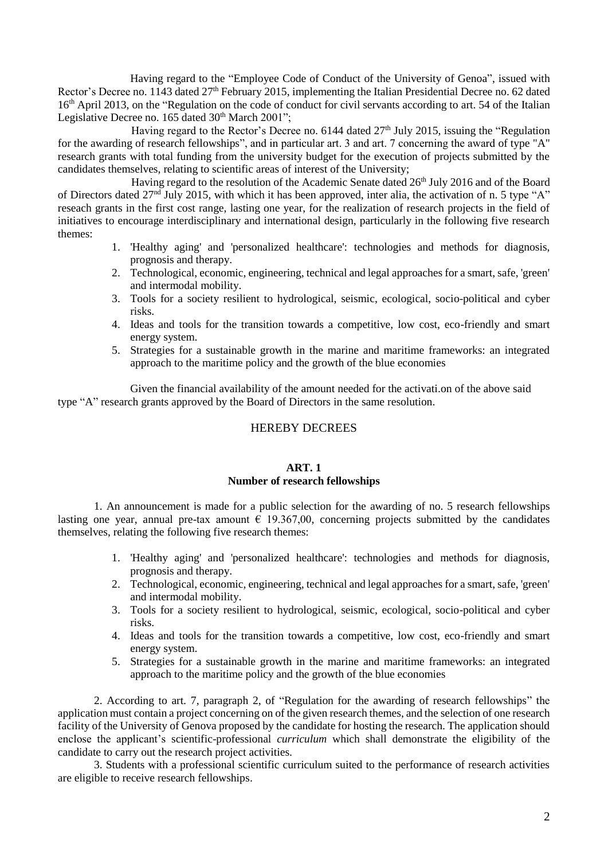Having regard to the "Employee Code of Conduct of the University of Genoa", issued with Rector's Decree no. 1143 dated 27<sup>th</sup> February 2015, implementing the Italian Presidential Decree no. 62 dated 16<sup>th</sup> April 2013, on the "Regulation on the code of conduct for civil servants according to art. 54 of the Italian Legislative Decree no. 165 dated  $30<sup>th</sup>$  March  $2001$ ";

Having regard to the Rector's Decree no.  $6144$  dated  $27<sup>th</sup>$  July 2015, issuing the "Regulation" for the awarding of research fellowships", and in particular art. 3 and art. 7 concerning the award of type "A" research grants with total funding from the university budget for the execution of projects submitted by the candidates themselves, relating to scientific areas of interest of the University;

Having regard to the resolution of the Academic Senate dated 26<sup>th</sup> July 2016 and of the Board of Directors dated 27nd July 2015, with which it has been approved, inter alia, the activation of n. 5 type "A" reseach grants in the first cost range, lasting one year, for the realization of research projects in the field of initiatives to encourage interdisciplinary and international design, particularly in the following five research themes:

- 1. 'Healthy aging' and 'personalized healthcare': technologies and methods for diagnosis, prognosis and therapy.
- 2. Technological, economic, engineering, technical and legal approaches for a smart, safe, 'green' and intermodal mobility.
- 3. Tools for a society resilient to hydrological, seismic, ecological, socio-political and cyber risks.
- 4. Ideas and tools for the transition towards a competitive, low cost, eco-friendly and smart energy system.
- 5. Strategies for a sustainable growth in the marine and maritime frameworks: an integrated approach to the maritime policy and the growth of the blue economies

Given the financial availability of the amount needed for the activati.on of the above said type "A" research grants approved by the Board of Directors in the same resolution.

## HEREBY DECREES

#### **ART. 1 Number of research fellowships**

1. An announcement is made for a public selection for the awarding of no. 5 research fellowships lasting one year, annual pre-tax amount  $\epsilon$  19.367,00, concerning projects submitted by the candidates themselves, relating the following five research themes:

- 1. 'Healthy aging' and 'personalized healthcare': technologies and methods for diagnosis, prognosis and therapy.
- 2. Technological, economic, engineering, technical and legal approaches for a smart, safe, 'green' and intermodal mobility.
- 3. Tools for a society resilient to hydrological, seismic, ecological, socio-political and cyber risks.
- 4. Ideas and tools for the transition towards a competitive, low cost, eco-friendly and smart energy system.
- 5. Strategies for a sustainable growth in the marine and maritime frameworks: an integrated approach to the maritime policy and the growth of the blue economies

2. According to art. 7, paragraph 2, of "Regulation for the awarding of research fellowships" the application must contain a project concerning on of the given research themes, and the selection of one research facility of the University of Genova proposed by the candidate for hosting the research. The application should enclose the applicant's scientific-professional *curriculum* which shall demonstrate the eligibility of the candidate to carry out the research project activities.

3. Students with a professional scientific curriculum suited to the performance of research activities are eligible to receive research fellowships.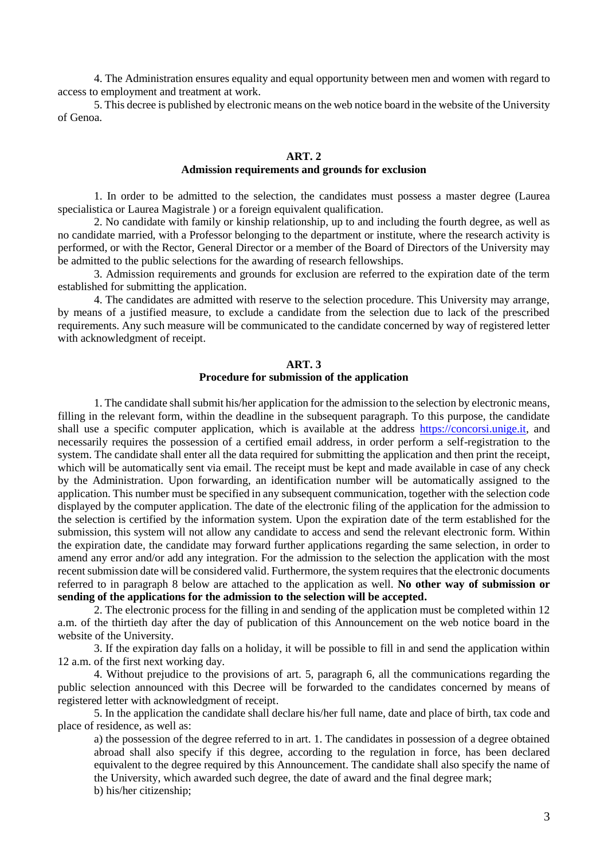4. The Administration ensures equality and equal opportunity between men and women with regard to access to employment and treatment at work.

5. This decree is published by electronic means on the web notice board in the website of the University of Genoa.

#### **ART. 2**

#### **Admission requirements and grounds for exclusion**

1. In order to be admitted to the selection, the candidates must possess a master degree (Laurea specialistica or Laurea Magistrale ) or a foreign equivalent qualification.

2. No candidate with family or kinship relationship, up to and including the fourth degree, as well as no candidate married, with a Professor belonging to the department or institute, where the research activity is performed, or with the Rector, General Director or a member of the Board of Directors of the University may be admitted to the public selections for the awarding of research fellowships.

3. Admission requirements and grounds for exclusion are referred to the expiration date of the term established for submitting the application.

4. The candidates are admitted with reserve to the selection procedure. This University may arrange, by means of a justified measure, to exclude a candidate from the selection due to lack of the prescribed requirements. Any such measure will be communicated to the candidate concerned by way of registered letter with acknowledgment of receipt.

## **ART. 3 Procedure for submission of the application**

1. The candidate shall submit his/her application for the admission to the selection by electronic means, filling in the relevant form, within the deadline in the subsequent paragraph. To this purpose, the candidate shall use a specific computer application, which is available at the address [https://concorsi.unige.it,](https://concorsi.unige.it/) and necessarily requires the possession of a certified email address, in order perform a self-registration to the system. The candidate shall enter all the data required for submitting the application and then print the receipt, which will be automatically sent via email. The receipt must be kept and made available in case of any check by the Administration. Upon forwarding, an identification number will be automatically assigned to the application. This number must be specified in any subsequent communication, together with the selection code displayed by the computer application. The date of the electronic filing of the application for the admission to the selection is certified by the information system. Upon the expiration date of the term established for the submission, this system will not allow any candidate to access and send the relevant electronic form. Within the expiration date, the candidate may forward further applications regarding the same selection, in order to amend any error and/or add any integration. For the admission to the selection the application with the most recent submission date will be considered valid. Furthermore, the system requires that the electronic documents referred to in paragraph 8 below are attached to the application as well. **No other way of submission or sending of the applications for the admission to the selection will be accepted.** 

2. The electronic process for the filling in and sending of the application must be completed within 12 a.m. of the thirtieth day after the day of publication of this Announcement on the web notice board in the website of the University.

3. If the expiration day falls on a holiday, it will be possible to fill in and send the application within 12 a.m. of the first next working day.

4. Without prejudice to the provisions of art. 5, paragraph 6, all the communications regarding the public selection announced with this Decree will be forwarded to the candidates concerned by means of registered letter with acknowledgment of receipt.

5. In the application the candidate shall declare his/her full name, date and place of birth, tax code and place of residence, as well as:

a) the possession of the degree referred to in art. 1. The candidates in possession of a degree obtained abroad shall also specify if this degree, according to the regulation in force, has been declared equivalent to the degree required by this Announcement. The candidate shall also specify the name of the University, which awarded such degree, the date of award and the final degree mark; b) his/her citizenship;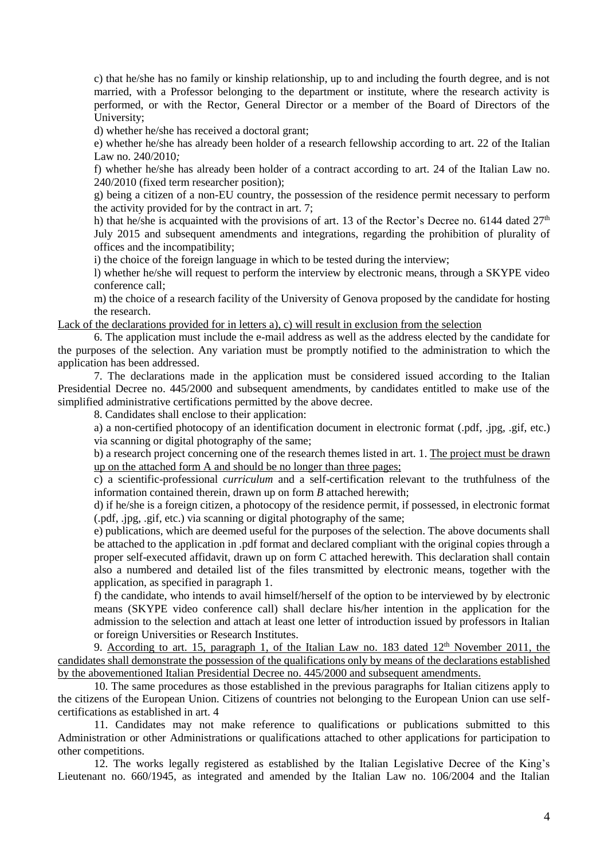c) that he/she has no family or kinship relationship, up to and including the fourth degree, and is not married, with a Professor belonging to the department or institute, where the research activity is performed, or with the Rector, General Director or a member of the Board of Directors of the University;

d) whether he/she has received a doctoral grant;

e) whether he/she has already been holder of a research fellowship according to art. 22 of the Italian Law no. 240/2010*;*

f) whether he/she has already been holder of a contract according to art. 24 of the Italian Law no. 240/2010 (fixed term researcher position);

g) being a citizen of a non-EU country, the possession of the residence permit necessary to perform the activity provided for by the contract in art. 7;

h) that he/she is acquainted with the provisions of art. 13 of the Rector's Decree no. 6144 dated  $27<sup>th</sup>$ July 2015 and subsequent amendments and integrations, regarding the prohibition of plurality of offices and the incompatibility;

i) the choice of the foreign language in which to be tested during the interview;

l) whether he/she will request to perform the interview by electronic means, through a SKYPE video conference call;

m) the choice of a research facility of the University of Genova proposed by the candidate for hosting the research.

Lack of the declarations provided for in letters a), c) will result in exclusion from the selection

6. The application must include the e-mail address as well as the address elected by the candidate for the purposes of the selection. Any variation must be promptly notified to the administration to which the application has been addressed.

7. The declarations made in the application must be considered issued according to the Italian Presidential Decree no. 445/2000 and subsequent amendments, by candidates entitled to make use of the simplified administrative certifications permitted by the above decree.

8. Candidates shall enclose to their application:

a) a non-certified photocopy of an identification document in electronic format (.pdf, .jpg, .gif, etc.) via scanning or digital photography of the same;

b) a research project concerning one of the research themes listed in art. 1. The project must be drawn up on the attached form A and should be no longer than three pages;

c) a scientific-professional *curriculum* and a self-certification relevant to the truthfulness of the information contained therein, drawn up on form *B* attached herewith;

d) if he/she is a foreign citizen, a photocopy of the residence permit, if possessed, in electronic format (.pdf, .jpg, .gif, etc.) via scanning or digital photography of the same;

e) publications, which are deemed useful for the purposes of the selection. The above documents shall be attached to the application in .pdf format and declared compliant with the original copies through a proper self-executed affidavit, drawn up on form C attached herewith. This declaration shall contain also a numbered and detailed list of the files transmitted by electronic means, together with the application, as specified in paragraph 1.

f) the candidate, who intends to avail himself/herself of the option to be interviewed by by electronic means (SKYPE video conference call) shall declare his/her intention in the application for the admission to the selection and attach at least one letter of introduction issued by professors in Italian or foreign Universities or Research Institutes.

9. According to art. 15, paragraph 1, of the Italian Law no. 183 dated  $12<sup>th</sup>$  November 2011, the candidates shall demonstrate the possession of the qualifications only by means of the declarations established by the abovementioned Italian Presidential Decree no. 445/2000 and subsequent amendments.

10. The same procedures as those established in the previous paragraphs for Italian citizens apply to the citizens of the European Union. Citizens of countries not belonging to the European Union can use selfcertifications as established in art. 4

11. Candidates may not make reference to qualifications or publications submitted to this Administration or other Administrations or qualifications attached to other applications for participation to other competitions.

12. The works legally registered as established by the Italian Legislative Decree of the King's Lieutenant no. 660/1945, as integrated and amended by the Italian Law no. 106/2004 and the Italian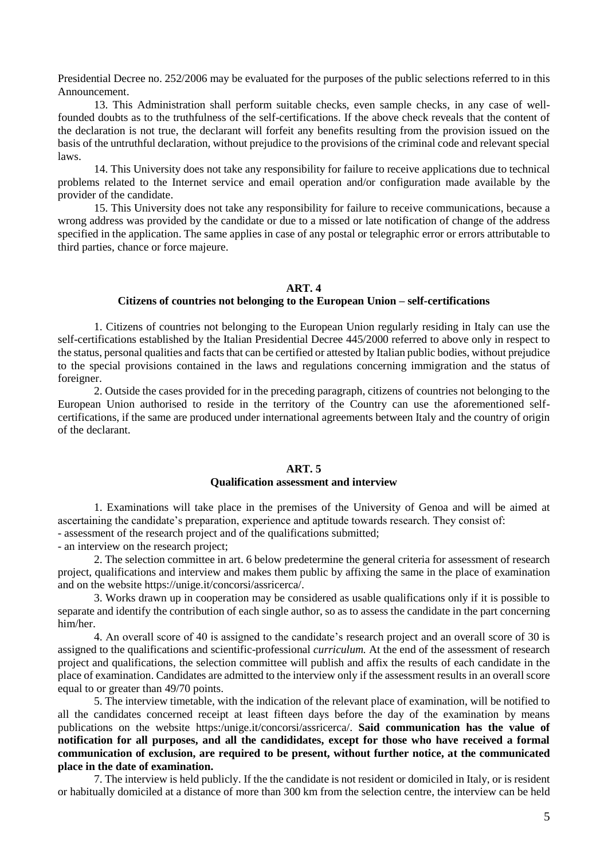Presidential Decree no. 252/2006 may be evaluated for the purposes of the public selections referred to in this Announcement.

13. This Administration shall perform suitable checks, even sample checks, in any case of wellfounded doubts as to the truthfulness of the self-certifications. If the above check reveals that the content of the declaration is not true, the declarant will forfeit any benefits resulting from the provision issued on the basis of the untruthful declaration, without prejudice to the provisions of the criminal code and relevant special laws.

14. This University does not take any responsibility for failure to receive applications due to technical problems related to the Internet service and email operation and/or configuration made available by the provider of the candidate.

15. This University does not take any responsibility for failure to receive communications, because a wrong address was provided by the candidate or due to a missed or late notification of change of the address specified in the application. The same applies in case of any postal or telegraphic error or errors attributable to third parties, chance or force majeure.

#### **ART. 4**

#### **Citizens of countries not belonging to the European Union – self-certifications**

1. Citizens of countries not belonging to the European Union regularly residing in Italy can use the self-certifications established by the Italian Presidential Decree 445/2000 referred to above only in respect to the status, personal qualities and facts that can be certified or attested by Italian public bodies, without prejudice to the special provisions contained in the laws and regulations concerning immigration and the status of foreigner.

2. Outside the cases provided for in the preceding paragraph, citizens of countries not belonging to the European Union authorised to reside in the territory of the Country can use the aforementioned selfcertifications, if the same are produced under international agreements between Italy and the country of origin of the declarant.

## **ART. 5**

#### **Qualification assessment and interview**

1. Examinations will take place in the premises of the University of Genoa and will be aimed at ascertaining the candidate's preparation, experience and aptitude towards research. They consist of: - assessment of the research project and of the qualifications submitted;

- an interview on the research project;

2. The selection committee in art. 6 below predetermine the general criteria for assessment of research project, qualifications and interview and makes them public by affixing the same in the place of examination and on the website https://unige.it/concorsi/assricerca/.

3. Works drawn up in cooperation may be considered as usable qualifications only if it is possible to separate and identify the contribution of each single author, so as to assess the candidate in the part concerning him/her.

4. An overall score of 40 is assigned to the candidate's research project and an overall score of 30 is assigned to the qualifications and scientific-professional *curriculum.* At the end of the assessment of research project and qualifications, the selection committee will publish and affix the results of each candidate in the place of examination. Candidates are admitted to the interview only if the assessment results in an overall score equal to or greater than 49/70 points.

5. The interview timetable, with the indication of the relevant place of examination, will be notified to all the candidates concerned receipt at least fifteen days before the day of the examination by means publications on the website https:/unige.it/concorsi/assricerca/. **Said communication has the value of notification for all purposes, and all the candididates, except for those who have received a formal communication of exclusion, are required to be present, without further notice, at the communicated place in the date of examination.** 

7. The interview is held publicly. If the the candidate is not resident or domiciled in Italy, or is resident or habitually domiciled at a distance of more than 300 km from the selection centre, the interview can be held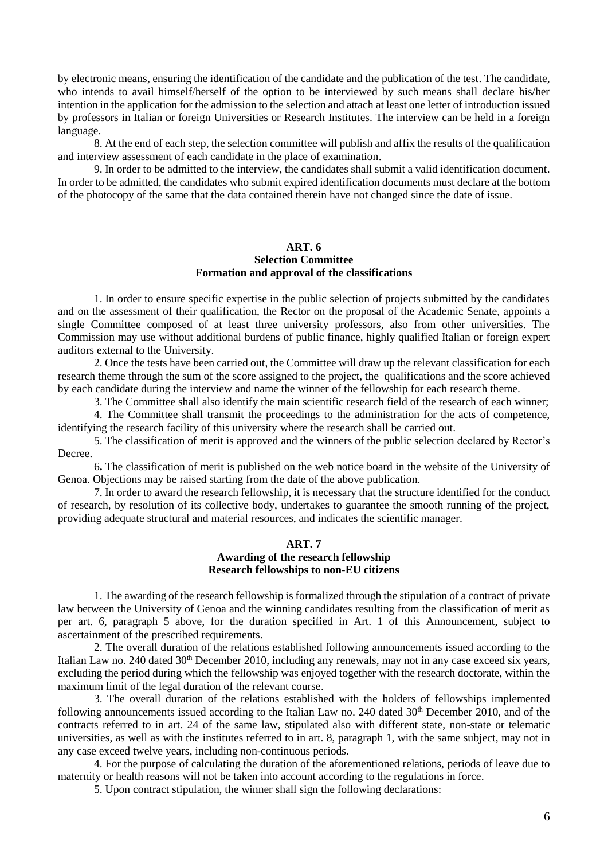by electronic means, ensuring the identification of the candidate and the publication of the test. The candidate, who intends to avail himself/herself of the option to be interviewed by such means shall declare his/her intention in the application for the admission to the selection and attach at least one letter of introduction issued by professors in Italian or foreign Universities or Research Institutes. The interview can be held in a foreign language.

8. At the end of each step, the selection committee will publish and affix the results of the qualification and interview assessment of each candidate in the place of examination.

9. In order to be admitted to the interview, the candidates shall submit a valid identification document. In order to be admitted, the candidates who submit expired identification documents must declare at the bottom of the photocopy of the same that the data contained therein have not changed since the date of issue.

#### **ART. 6 Selection Committee**

## **Formation and approval of the classifications**

1. In order to ensure specific expertise in the public selection of projects submitted by the candidates and on the assessment of their qualification, the Rector on the proposal of the Academic Senate, appoints a single Committee composed of at least three university professors, also from other universities. The Commission may use without additional burdens of public finance, highly qualified Italian or foreign expert auditors external to the University.

2. Once the tests have been carried out, the Committee will draw up the relevant classification for each research theme through the sum of the score assigned to the project, the qualifications and the score achieved by each candidate during the interview and name the winner of the fellowship for each research theme.

3. The Committee shall also identify the main scientific research field of the research of each winner;

4. The Committee shall transmit the proceedings to the administration for the acts of competence, identifying the research facility of this university where the research shall be carried out.

5. The classification of merit is approved and the winners of the public selection declared by Rector's Decree.

6**.** The classification of merit is published on the web notice board in the website of the University of Genoa. Objections may be raised starting from the date of the above publication.

7. In order to award the research fellowship, it is necessary that the structure identified for the conduct of research, by resolution of its collective body, undertakes to guarantee the smooth running of the project, providing adequate structural and material resources, and indicates the scientific manager.

#### **ART. 7 Awarding of the research fellowship Research fellowships to non-EU citizens**

1. The awarding of the research fellowship is formalized through the stipulation of a contract of private law between the University of Genoa and the winning candidates resulting from the classification of merit as per art. 6, paragraph 5 above, for the duration specified in Art. 1 of this Announcement, subject to ascertainment of the prescribed requirements.

2. The overall duration of the relations established following announcements issued according to the Italian Law no. 240 dated 30<sup>th</sup> December 2010, including any renewals, may not in any case exceed six years, excluding the period during which the fellowship was enjoyed together with the research doctorate, within the maximum limit of the legal duration of the relevant course.

3. The overall duration of the relations established with the holders of fellowships implemented following announcements issued according to the Italian Law no. 240 dated  $30<sup>th</sup>$  December 2010, and of the contracts referred to in art. 24 of the same law, stipulated also with different state, non-state or telematic universities, as well as with the institutes referred to in art. 8, paragraph 1, with the same subject, may not in any case exceed twelve years, including non-continuous periods.

4. For the purpose of calculating the duration of the aforementioned relations, periods of leave due to maternity or health reasons will not be taken into account according to the regulations in force.

5. Upon contract stipulation, the winner shall sign the following declarations: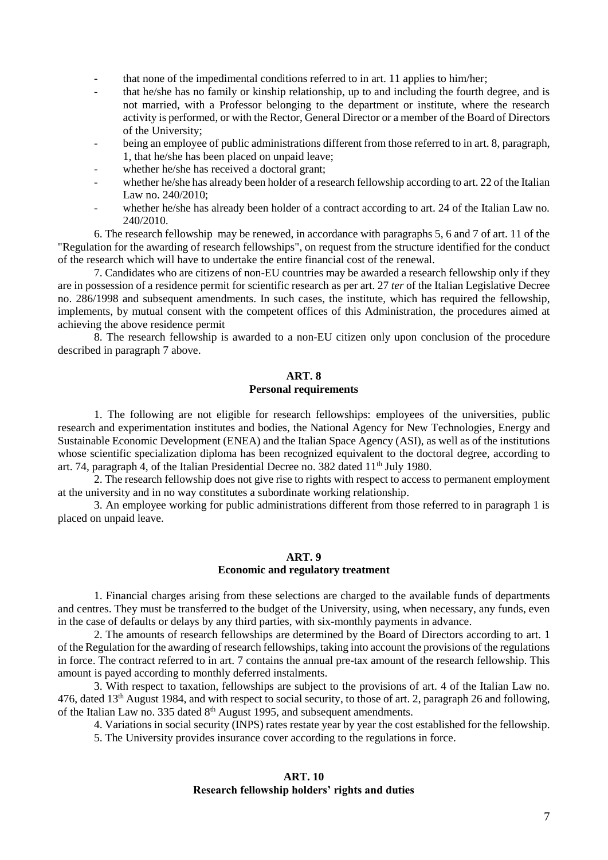- that none of the impedimental conditions referred to in art. 11 applies to him/her;
- that he/she has no family or kinship relationship, up to and including the fourth degree, and is not married, with a Professor belonging to the department or institute, where the research activity is performed, or with the Rector, General Director or a member of the Board of Directors of the University;
- being an employee of public administrations different from those referred to in art. 8, paragraph, 1, that he/she has been placed on unpaid leave;
- whether he/she has received a doctoral grant;
- whether he/she has already been holder of a research fellowship according to art. 22 of the Italian Law no. 240/2010;
- whether he/she has already been holder of a contract according to art. 24 of the Italian Law no. 240/2010.

6. The research fellowship may be renewed, in accordance with paragraphs 5, 6 and 7 of art. 11 of the "Regulation for the awarding of research fellowships", on request from the structure identified for the conduct of the research which will have to undertake the entire financial cost of the renewal.

7. Candidates who are citizens of non-EU countries may be awarded a research fellowship only if they are in possession of a residence permit for scientific research as per art. 27 *ter* of the Italian Legislative Decree no. 286/1998 and subsequent amendments. In such cases, the institute, which has required the fellowship, implements, by mutual consent with the competent offices of this Administration, the procedures aimed at achieving the above residence permit

8. The research fellowship is awarded to a non-EU citizen only upon conclusion of the procedure described in paragraph 7 above.

## **ART. 8 Personal requirements**

1. The following are not eligible for research fellowships: employees of the universities, public research and experimentation institutes and bodies, the National Agency for New Technologies, Energy and Sustainable Economic Development (ENEA) and the Italian Space Agency (ASI), as well as of the institutions whose scientific specialization diploma has been recognized equivalent to the doctoral degree, according to art. 74, paragraph  $\overline{4}$ , of the Italian Presidential Decree no. 382 dated 11<sup>th</sup> July 1980.

2. The research fellowship does not give rise to rights with respect to access to permanent employment at the university and in no way constitutes a subordinate working relationship.

3. An employee working for public administrations different from those referred to in paragraph 1 is placed on unpaid leave.

#### **ART. 9 Economic and regulatory treatment**

1. Financial charges arising from these selections are charged to the available funds of departments and centres. They must be transferred to the budget of the University, using, when necessary, any funds, even in the case of defaults or delays by any third parties, with six-monthly payments in advance.

2. The amounts of research fellowships are determined by the Board of Directors according to art. 1 of the Regulation for the awarding of research fellowships, taking into account the provisions of the regulations in force. The contract referred to in art. 7 contains the annual pre-tax amount of the research fellowship. This amount is payed according to monthly deferred instalments.

3. With respect to taxation, fellowships are subject to the provisions of art. 4 of the Italian Law no. 476, dated 13th August 1984, and with respect to social security, to those of art. 2, paragraph 26 and following, of the Italian Law no. 335 dated  $8<sup>th</sup>$  August 1995, and subsequent amendments.

4. Variations in social security (INPS) rates restate year by year the cost established for the fellowship.

5. The University provides insurance cover according to the regulations in force.

#### **ART. 10 Research fellowship holders' rights and duties**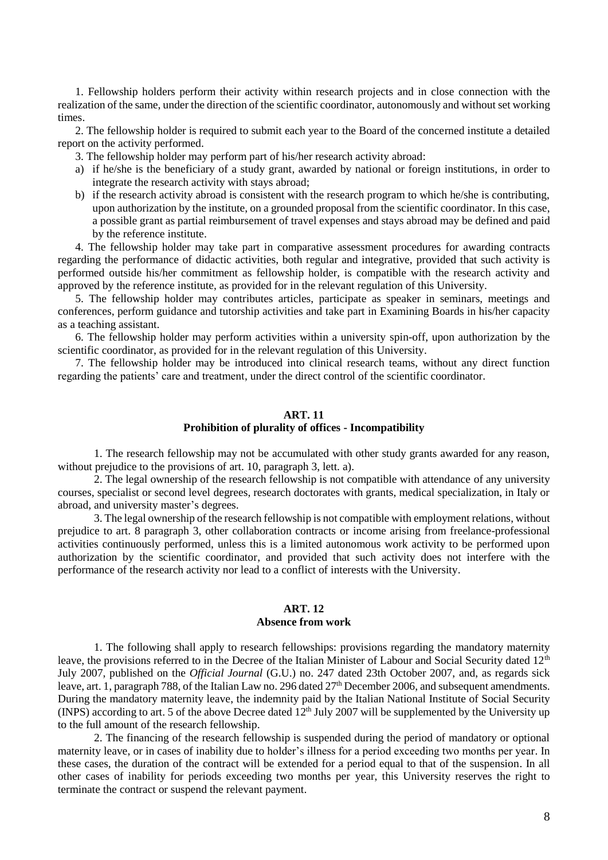1. Fellowship holders perform their activity within research projects and in close connection with the realization of the same, under the direction of the scientific coordinator, autonomously and without set working times.

2. The fellowship holder is required to submit each year to the Board of the concerned institute a detailed report on the activity performed.

3. The fellowship holder may perform part of his/her research activity abroad:

- a) if he/she is the beneficiary of a study grant, awarded by national or foreign institutions, in order to integrate the research activity with stays abroad;
- b) if the research activity abroad is consistent with the research program to which he/she is contributing, upon authorization by the institute, on a grounded proposal from the scientific coordinator. In this case, a possible grant as partial reimbursement of travel expenses and stays abroad may be defined and paid by the reference institute.

4. The fellowship holder may take part in comparative assessment procedures for awarding contracts regarding the performance of didactic activities, both regular and integrative, provided that such activity is performed outside his/her commitment as fellowship holder, is compatible with the research activity and approved by the reference institute, as provided for in the relevant regulation of this University.

5. The fellowship holder may contributes articles, participate as speaker in seminars, meetings and conferences, perform guidance and tutorship activities and take part in Examining Boards in his/her capacity as a teaching assistant.

6. The fellowship holder may perform activities within a university spin-off, upon authorization by the scientific coordinator, as provided for in the relevant regulation of this University.

7. The fellowship holder may be introduced into clinical research teams, without any direct function regarding the patients' care and treatment, under the direct control of the scientific coordinator.

#### **ART. 11**

#### **Prohibition of plurality of offices - Incompatibility**

1. The research fellowship may not be accumulated with other study grants awarded for any reason, without prejudice to the provisions of art. 10, paragraph 3, lett. a).

2. The legal ownership of the research fellowship is not compatible with attendance of any university courses, specialist or second level degrees, research doctorates with grants, medical specialization, in Italy or abroad, and university master's degrees.

3. The legal ownership of the research fellowship is not compatible with employment relations, without prejudice to art. 8 paragraph 3, other collaboration contracts or income arising from freelance-professional activities continuously performed, unless this is a limited autonomous work activity to be performed upon authorization by the scientific coordinator, and provided that such activity does not interfere with the performance of the research activity nor lead to a conflict of interests with the University.

#### **ART. 12 Absence from work**

1. The following shall apply to research fellowships: provisions regarding the mandatory maternity leave, the provisions referred to in the Decree of the Italian Minister of Labour and Social Security dated 12<sup>th</sup> July 2007, published on the *Official Journal* (G.U.) no. 247 dated 23th October 2007, and, as regards sick leave, art. 1, paragraph 788, of the Italian Law no. 296 dated 27<sup>th</sup> December 2006, and subsequent amendments. During the mandatory maternity leave, the indemnity paid by the Italian National Institute of Social Security (INPS) according to art. 5 of the above Decree dated  $12<sup>th</sup>$  July 2007 will be supplemented by the University up to the full amount of the research fellowship.

2. The financing of the research fellowship is suspended during the period of mandatory or optional maternity leave, or in cases of inability due to holder's illness for a period exceeding two months per year. In these cases, the duration of the contract will be extended for a period equal to that of the suspension. In all other cases of inability for periods exceeding two months per year, this University reserves the right to terminate the contract or suspend the relevant payment.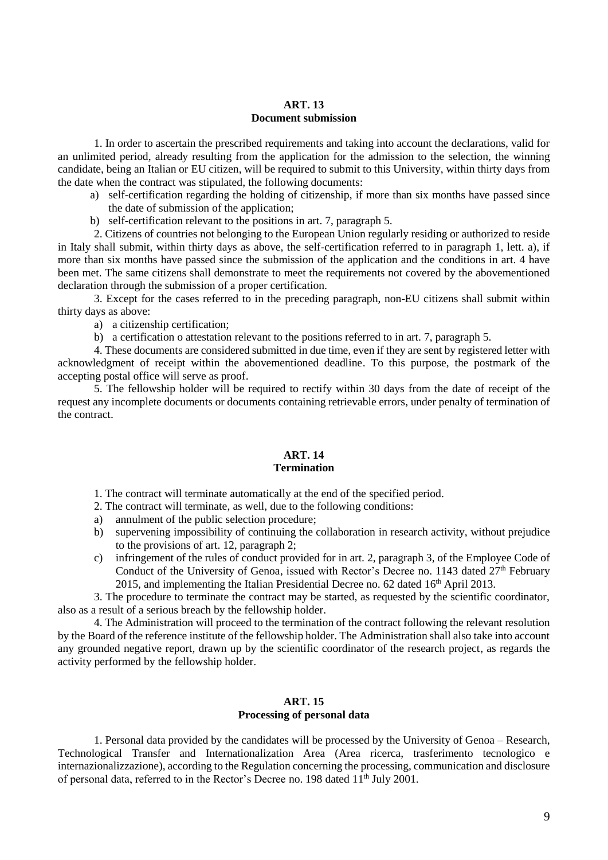#### **ART. 13 Document submission**

1. In order to ascertain the prescribed requirements and taking into account the declarations, valid for an unlimited period, already resulting from the application for the admission to the selection, the winning candidate, being an Italian or EU citizen, will be required to submit to this University, within thirty days from the date when the contract was stipulated, the following documents:

- a) self-certification regarding the holding of citizenship, if more than six months have passed since the date of submission of the application;
- b) self-certification relevant to the positions in art. 7, paragraph 5.

2. Citizens of countries not belonging to the European Union regularly residing or authorized to reside in Italy shall submit, within thirty days as above, the self-certification referred to in paragraph 1, lett. a), if more than six months have passed since the submission of the application and the conditions in art. 4 have been met. The same citizens shall demonstrate to meet the requirements not covered by the abovementioned declaration through the submission of a proper certification.

3. Except for the cases referred to in the preceding paragraph, non-EU citizens shall submit within thirty days as above:

a) a citizenship certification;

b) a certification o attestation relevant to the positions referred to in art. 7, paragraph 5.

4. These documents are considered submitted in due time, even if they are sent by registered letter with acknowledgment of receipt within the abovementioned deadline. To this purpose, the postmark of the accepting postal office will serve as proof.

5. The fellowship holder will be required to rectify within 30 days from the date of receipt of the request any incomplete documents or documents containing retrievable errors, under penalty of termination of the contract.

#### **ART. 14 Termination**

1. The contract will terminate automatically at the end of the specified period.

- 2. The contract will terminate, as well, due to the following conditions:
- a) annulment of the public selection procedure;
- b) supervening impossibility of continuing the collaboration in research activity, without prejudice to the provisions of art. 12, paragraph 2;
- c) infringement of the rules of conduct provided for in art. 2, paragraph 3, of the Employee Code of Conduct of the University of Genoa, issued with Rector's Decree no. 1143 dated  $27<sup>th</sup>$  February 2015, and implementing the Italian Presidential Decree no.  $62$  dated  $16<sup>th</sup>$  April 2013.

3. The procedure to terminate the contract may be started, as requested by the scientific coordinator, also as a result of a serious breach by the fellowship holder.

4. The Administration will proceed to the termination of the contract following the relevant resolution by the Board of the reference institute of the fellowship holder. The Administration shall also take into account any grounded negative report, drawn up by the scientific coordinator of the research project, as regards the activity performed by the fellowship holder.

#### **ART. 15 Processing of personal data**

1. Personal data provided by the candidates will be processed by the University of Genoa – Research, Technological Transfer and Internationalization Area (Area ricerca, trasferimento tecnologico e internazionalizzazione), according to the Regulation concerning the processing, communication and disclosure of personal data, referred to in the Rector's Decree no. 198 dated 11th July 2001.